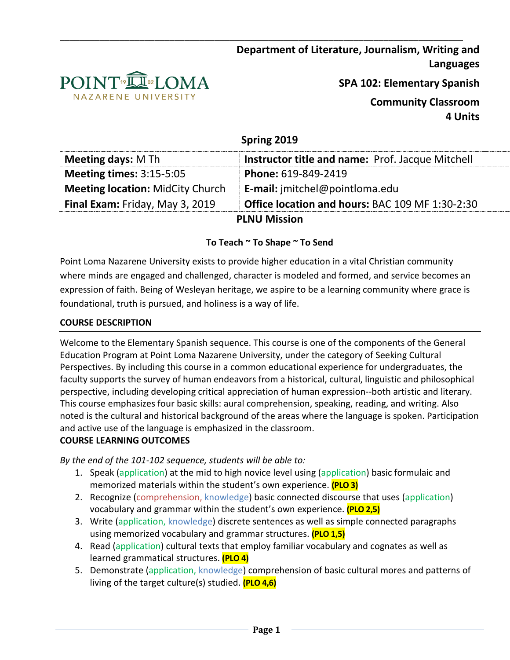



**SPA 102: Elementary Spanish**

**Community Classroom 4 Units**

# **Spring 2019**

\_\_\_\_\_\_\_\_\_\_\_\_\_\_\_\_\_\_\_\_\_\_\_\_\_\_\_\_\_\_\_\_\_\_\_\_\_\_\_\_\_\_\_\_\_\_\_\_\_\_\_\_\_\_\_\_\_\_\_\_\_\_\_\_\_\_\_\_\_\_\_\_\_\_\_\_\_\_\_\_\_

| Meeting days: M Th                      | Instructor title and name: Prof. Jacque Mitchell |
|-----------------------------------------|--------------------------------------------------|
| <b>Meeting times:</b> $3:15-5:05$       | Phone: 619-849-2419                              |
| <b>Meeting location: MidCity Church</b> | <b>E-mail:</b> jmitchel@pointloma.edu            |
| <b>Final Exam:</b> Friday, May 3, 2019  | Office location and hours: BAC 109 MF 1:30-2:30  |
|                                         | <b>PLNU Mission</b>                              |

# **To Teach ~ To Shape ~ To Send**

Point Loma Nazarene University exists to provide higher education in a vital Christian community where minds are engaged and challenged, character is modeled and formed, and service becomes an expression of faith. Being of Wesleyan heritage, we aspire to be a learning community where grace is foundational, truth is pursued, and holiness is a way of life.

#### **COURSE DESCRIPTION**

Welcome to the Elementary Spanish sequence. This course is one of the components of the General Education Program at Point Loma Nazarene University, under the category of Seeking Cultural Perspectives. By including this course in a common educational experience for undergraduates, the faculty supports the survey of human endeavors from a historical, cultural, linguistic and philosophical perspective, including developing critical appreciation of human expression--both artistic and literary. This course emphasizes four basic skills: aural comprehension, speaking, reading, and writing. Also noted is the cultural and historical background of the areas where the language is spoken. Participation and active use of the language is emphasized in the classroom. **COURSE LEARNING OUTCOMES** 

*By the end of the 101-102 sequence, students will be able to:*

- 1. Speak (application) at the mid to high novice level using (application) basic formulaic and memorized materials within the student's own experience. **(PLO 3)**
- 2. Recognize (comprehension, knowledge) basic connected discourse that uses (application) vocabulary and grammar within the student's own experience. **(PLO 2,5)**
- 3. Write (application, knowledge) discrete sentences as well as simple connected paragraphs using memorized vocabulary and grammar structures. **(PLO 1,5)**
- 4. Read (application) cultural texts that employ familiar vocabulary and cognates as well as learned grammatical structures. **(PLO 4)**
- 5. Demonstrate (application, knowledge) comprehension of basic cultural mores and patterns of living of the target culture(s) studied. **(PLO 4,6)**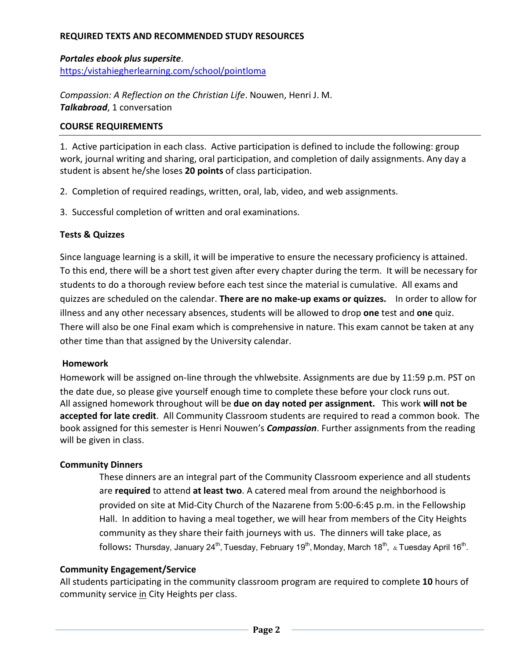# **REQUIRED TEXTS AND RECOMMENDED STUDY RESOURCES**

*Portales ebook plus supersite*. [https:/vistahiegherlearning.com/school/pointloma](https://vistahiegherlearning.com/school/pointloma)

*Compassion: A Reflection on the Christian Life*. Nouwen, Henri J. M. *Talkabroad*, 1 conversation

#### **COURSE REQUIREMENTS**

1. Active participation in each class. Active participation is defined to include the following: group work, journal writing and sharing, oral participation, and completion of daily assignments. Any day a student is absent he/she loses **20 points** of class participation.

- 2. Completion of required readings, written, oral, lab, video, and web assignments.
- 3. Successful completion of written and oral examinations.

#### **Tests & Quizzes**

Since language learning is a skill, it will be imperative to ensure the necessary proficiency is attained. To this end, there will be a short test given after every chapter during the term. It will be necessary for students to do a thorough review before each test since the material is cumulative. All exams and quizzes are scheduled on the calendar. **There are no make-up exams or quizzes.** In order to allow for illness and any other necessary absences, students will be allowed to drop **one** test and **one** quiz. There will also be one Final exam which is comprehensive in nature. This exam cannot be taken at any other time than that assigned by the University calendar.

#### **Homework**

Homework will be assigned on-line through the vhlwebsite. Assignments are due by 11:59 p.m. PST on the date due, so please give yourself enough time to complete these before your clock runs out. All assigned homework throughout will be **due on day noted per assignment.** This work **will not be accepted for late credit**. All Community Classroom students are required to read a common book. The book assigned for this semester is Henri Nouwen's *Compassion*. Further assignments from the reading will be given in class.

# **Community Dinners**

These dinners are an integral part of the Community Classroom experience and all students are **required** to attend **at least two**. A catered meal from around the neighborhood is provided on site at Mid-City Church of the Nazarene from 5:00-6:45 p.m. in the Fellowship Hall. In addition to having a meal together, we will hear from members of the City Heights community as they share their faith journeys with us. The dinners will take place, as follows: Thursday, January 24<sup>th</sup>, Tuesday, February 19<sup>th</sup>, Monday, March 18<sup>th</sup>, & Tuesday April 16<sup>th</sup>.

#### **Community Engagement/Service**

All students participating in the community classroom program are required to complete **10** hours of community service in City Heights per class.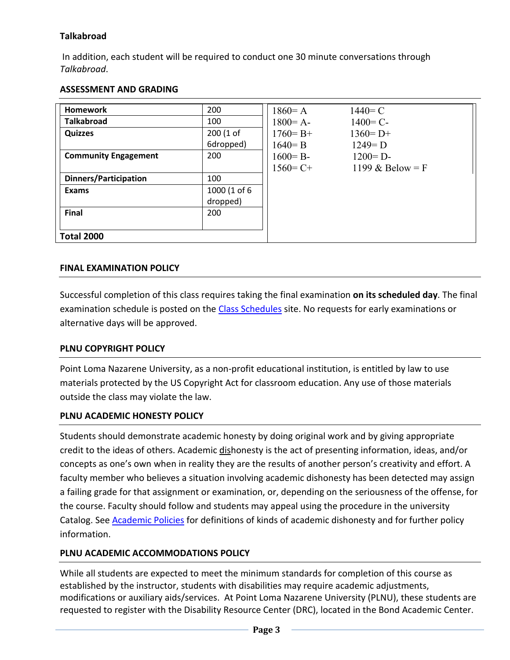# **Talkabroad**

In addition, each student will be required to conduct one 30 minute conversations through *Talkabroad*.

# **ASSESSMENT AND GRADING**

| <b>Homework</b>              | 200          | $1860 = A$   | $1440 = C$         |
|------------------------------|--------------|--------------|--------------------|
| <b>Talkabroad</b>            | 100          | $1800 = A -$ | $1400 = C -$       |
| <b>Quizzes</b>               | 200 (1 of    | $1760 = B +$ | $1360 = D+$        |
|                              | 6dropped)    | $1640 = B$   | $1249 = D$         |
| <b>Community Engagement</b>  | 200          | $1600 = B -$ | $1200 = D$         |
|                              |              | $1560 = C +$ | 1199 & Below = $F$ |
| <b>Dinners/Participation</b> | 100          |              |                    |
| Exams                        | 1000 (1 of 6 |              |                    |
|                              | dropped)     |              |                    |
| Final                        | 200          |              |                    |
|                              |              |              |                    |
| <b>Total 2000</b>            |              |              |                    |

# **FINAL EXAMINATION POLICY**

Successful completion of this class requires taking the final examination **on its scheduled day**. The final examination schedule is posted on the [Class Schedules](http://www.pointloma.edu/experience/academics/class-schedules) site. No requests for early examinations or alternative days will be approved.

# **PLNU COPYRIGHT POLICY**

Point Loma Nazarene University, as a non-profit educational institution, is entitled by law to use materials protected by the US Copyright Act for classroom education. Any use of those materials outside the class may violate the law.

# **PLNU ACADEMIC HONESTY POLICY**

Students should demonstrate academic honesty by doing original work and by giving appropriate credit to the ideas of others. Academic dishonesty is the act of presenting information, ideas, and/or concepts as one's own when in reality they are the results of another person's creativity and effort. A faculty member who believes a situation involving academic dishonesty has been detected may assign a failing grade for that assignment or examination, or, depending on the seriousness of the offense, for the course. Faculty should follow and students may appeal using the procedure in the university Catalog. See [Academic Policies](http://catalog.pointloma.edu/content.php?catoid=18&navoid=1278) for definitions of kinds of academic dishonesty and for further policy information.

# **PLNU ACADEMIC ACCOMMODATIONS POLICY**

While all students are expected to meet the minimum standards for completion of this course as established by the instructor, students with disabilities may require academic adjustments, modifications or auxiliary aids/services. At Point Loma Nazarene University (PLNU), these students are requested to register with the Disability Resource Center (DRC), located in the Bond Academic Center.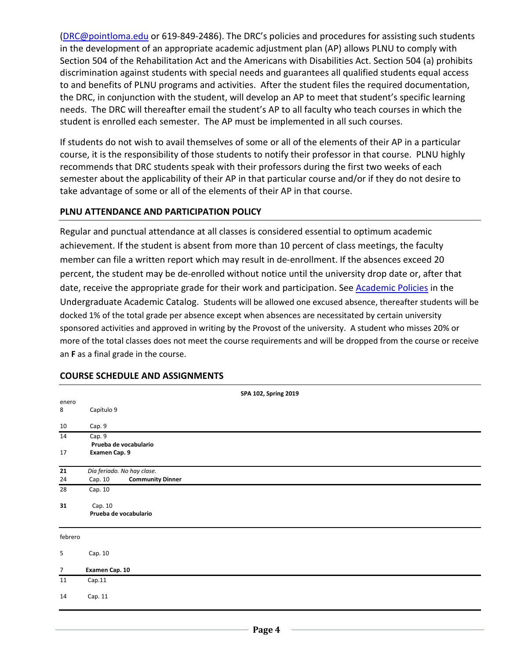[\(DRC@pointloma.edu](mailto:DRC@pointloma.edu) or 619-849-2486). The DRC's policies and procedures for assisting such students in the development of an appropriate academic adjustment plan (AP) allows PLNU to comply with Section 504 of the Rehabilitation Act and the Americans with Disabilities Act. Section 504 (a) prohibits discrimination against students with special needs and guarantees all qualified students equal access to and benefits of PLNU programs and activities. After the student files the required documentation, the DRC, in conjunction with the student, will develop an AP to meet that student's specific learning needs. The DRC will thereafter email the student's AP to all faculty who teach courses in which the student is enrolled each semester. The AP must be implemented in all such courses.

If students do not wish to avail themselves of some or all of the elements of their AP in a particular course, it is the responsibility of those students to notify their professor in that course. PLNU highly recommends that DRC students speak with their professors during the first two weeks of each semester about the applicability of their AP in that particular course and/or if they do not desire to take advantage of some or all of the elements of their AP in that course.

#### **PLNU ATTENDANCE AND PARTICIPATION POLICY**

Regular and punctual attendance at all classes is considered essential to optimum academic achievement. If the student is absent from more than 10 percent of class meetings, the faculty member can file a written report which may result in de-enrollment. If the absences exceed 20 percent, the student may be de-enrolled without notice until the university drop date or, after that date, receive the appropriate grade for their work and participation. See **Academic Policies** in the Undergraduate Academic Catalog. Students will be allowed one excused absence, thereafter students will be docked 1% of the total grade per absence except when absences are necessitated by certain university sponsored activities and approved in writing by the Provost of the university. A student who misses 20% or more of the total classes does not meet the course requirements and will be dropped from the course or receive an **F** as a final grade in the course.

|                | SPA 102, Spring 2019               |
|----------------|------------------------------------|
| enero          |                                    |
| 8              | Capítulo 9                         |
| 10             | Cap. 9                             |
| 14             | Cap. 9                             |
|                | Prueba de vocabulario              |
| 17             | Examen Cap. 9                      |
| 21             | Día feriado. No hay clase.         |
| 24             | <b>Community Dinner</b><br>Cap. 10 |
| 28             | Cap. 10                            |
| 31             | Cap. 10                            |
|                | Prueba de vocabulario              |
| febrero        |                                    |
| 5              | Cap. 10                            |
| $\overline{7}$ | Examen Cap. 10                     |
| 11             | Cap.11                             |
| 14             | Cap. 11                            |
|                |                                    |

# **COURSE SCHEDULE AND ASSIGNMENTS**